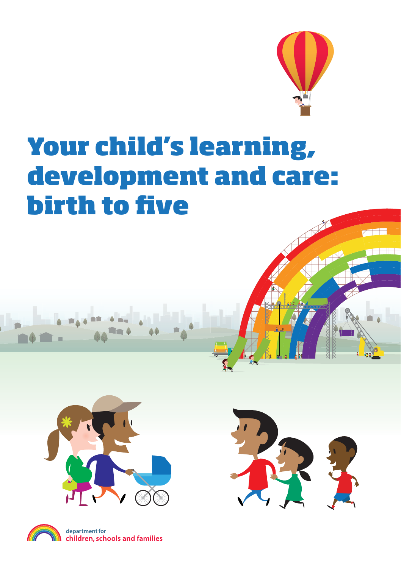

 $\pi$   $\Box$ 

# **Your child's learning, development and care: birth to five**





department for children, schools and families

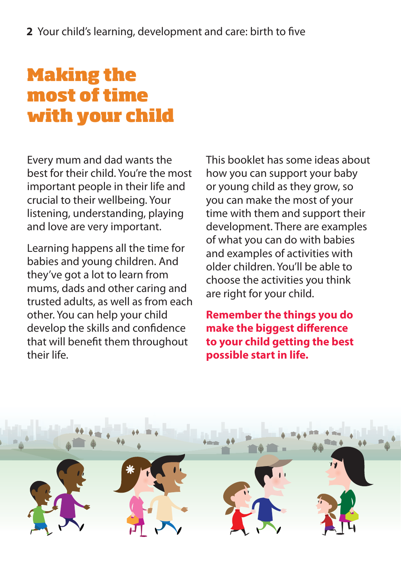# **Making the most of time with your child**

Every mum and dad wants the best for their child. You're the most important people in their life and crucial to their wellbeing. Your listening, understanding, playing and love are very important.

Learning happens all the time for babies and young children. And they've got a lot to learn from mums, dads and other caring and trusted adults, as well as from each other. You can help your child develop the skills and confidence that will benefit them throughout their life.

This booklet has some ideas about how you can support your baby or young child as they grow, so you can make the most of your time with them and support their development. There are examples of what you can do with babies and examples of activities with older children. You'll be able to choose the activities you think are right for your child.

**Remember the things you do make the biggest difference to your child getting the best possible start in life.** 

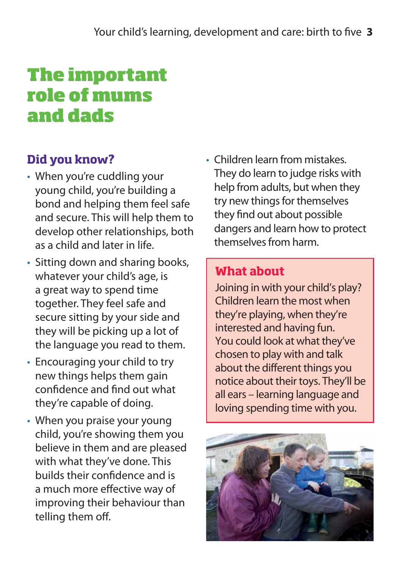# **The important role of mums and dads**

### **Did you know?**

- When you're cuddling your young child, you're building a bond and helping them feel safe and secure. This will help them to develop other relationships, both as a child and later in life.
- Sitting down and sharing books, whatever your child's age, is a great way to spend time together. They feel safe and secure sitting by your side and they will be picking up a lot of the language you read to them.
- Encouraging your child to try new things helps them gain confidence and find out what they're capable of doing.
- When you praise your young child, you're showing them you believe in them and are pleased with what they've done. This builds their confidence and is a much more effective way of improving their behaviour than telling them off.

• Children learn from mistakes. They do learn to judge risks with help from adults, but when they try new things for themselves they find out about possible dangers and learn how to protect themselves from harm.

#### **What about**

Joining in with your child's play? Children learn the most when they're playing, when they're interested and having fun. You could look at what they've chosen to play with and talk about the different things you notice about their toys. They'll be all ears – learning language and loving spending time with you.

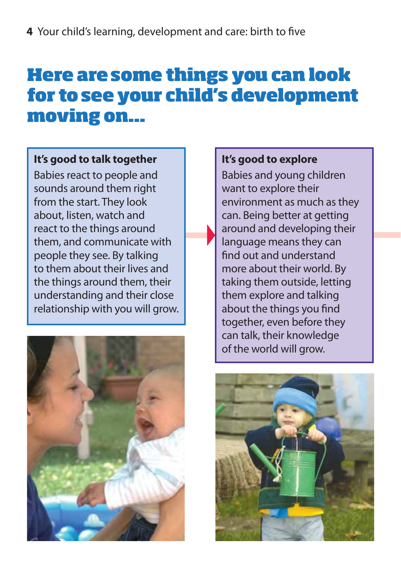# **Here are some things you can look for to see your child's development moving on...**

#### **It's good to talk together**

Babies react to people and sounds around them right from the start. They look about, listen, watch and react to the things around them, and communicate with people they see. By talking to them about their lives and the things around them, their understanding and their close relationship with you will grow.



#### **It's good to explore**

Babies and young children want to explore their environment as much as they can. Being better at getting around and developing their language means they can find out and understand more about their world. By taking them outside, letting them explore and talking about the things you find together, even before they can talk, their knowledge of the world will grow.

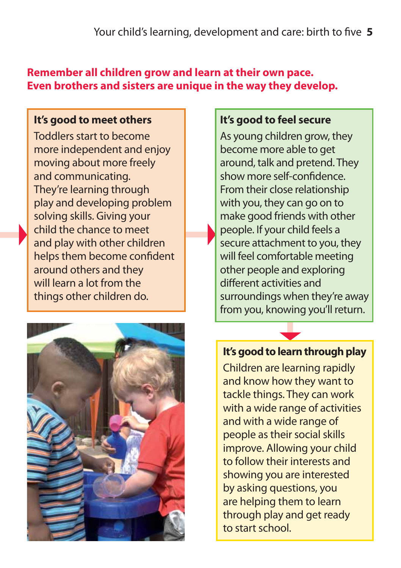#### **Remember all children grow and learn at their own pace. Even brothers and sisters are unique in the way they develop.**

#### **It's good to meet others**

Toddlers start to become more independent and enjoy moving about more freely and communicating. They're learning through play and developing problem solving skills. Giving your child the chance to meet and play with other children helps them become confident around others and they will learn a lot from the things other children do.



#### **It's good to feel secure**

As young children grow, they become more able to get around, talk and pretend. They show more self-confidence. From their close relationship with you, they can go on to make good friends with other people. If your child feels a secure attachment to you, they will feel comfortable meeting other people and exploring different activities and surroundings when they're away from you, knowing you'll return.

#### **It's good to learn through play**

Children are learning rapidly and know how they want to tackle things. They can work with a wide range of activities and with a wide range of people as their social skills improve. Allowing your child to follow their interests and showing you are interested by asking questions, you are helping them to learn through play and get ready to start school.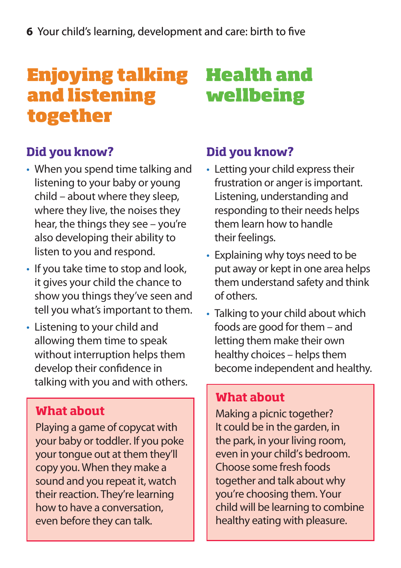# **Enjoying talking and listening together**

# **Health and wellbeing**

# **Did you know?**

- When you spend time talking and listening to your baby or young child – about where they sleep, where they live, the noises they hear, the things they see – you're also developing their ability to listen to you and respond.
- If you take time to stop and look, it gives your child the chance to show you things they've seen and tell you what's important to them.
- Listening to your child and allowing them time to speak without interruption helps them develop their confidence in talking with you and with others.

# **What about**

Playing a game of copycat with your baby or toddler. If you poke your tongue out at them they'll copy you. When they make a sound and you repeat it, watch their reaction. They're learning how to have a conversation, even before they can talk.

## **Did you know?**

- Letting your child express their frustration or anger is important. Listening, understanding and responding to their needs helps them learn how to handle their feelings.
- Explaining why toys need to be put away or kept in one area helps them understand safety and think of others.
- Talking to your child about which foods are good for them – and letting them make their own healthy choices – helps them become independent and healthy.

### **What about**

Making a picnic together? It could be in the garden, in the park, in your living room, even in your child's bedroom. Choose some fresh foods together and talk about why you're choosing them. Your child will be learning to combine healthy eating with pleasure.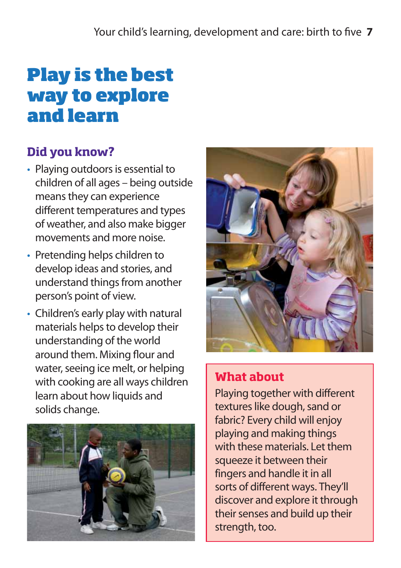# **Play is the best way to explore and learn**

# **Did you know?**

- Playing outdoors is essential to children of all ages – being outside means they can experience different temperatures and types of weather, and also make bigger movements and more noise.
- Pretending helps children to develop ideas and stories, and understand things from another person's point of view.
- Children's early play with natural materials helps to develop their understanding of the world around them. Mixing flour and water, seeing ice melt, or helping with cooking are all ways children learn about how liquids and solids change.





### **What about**

Playing together with different textures like dough, sand or fabric? Every child will enjoy playing and making things with these materials. Let them squeeze it between their fingers and handle it in all sorts of different ways. They'll discover and explore it through their senses and build up their strength, too.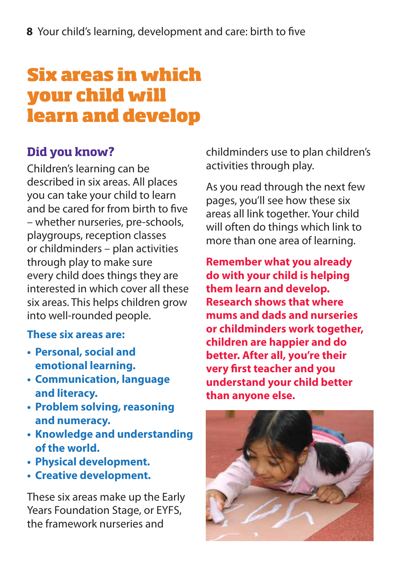# **Six areas in which your child will learn and develop**

### **Did you know?**

Children's learning can be described in six areas. All places you can take your child to learn and be cared for from birth to five – whether nurseries, pre-schools, playgroups, reception classes or childminders – plan activities through play to make sure every child does things they are interested in which cover all these six areas. This helps children grow into well-rounded people.

#### **These six areas are:**

- **Personal, social and emotional learning.**
- **Communication, language and literacy.**
- **Problem solving, reasoning and numeracy.**
- **Knowledge and understanding of the world.**
- **Physical development.**
- **Creative development.**

These six areas make up the Early Years Foundation Stage, or EYFS, the framework nurseries and

childminders use to plan children's activities through play.

As you read through the next few pages, you'll see how these six areas all link together. Your child will often do things which link to more than one area of learning.

**Remember what you already do with your child is helping them learn and develop. Research shows that where mums and dads and nurseries or childminders work together, children are happier and do better. After all, you're their very first teacher and you understand your child better than anyone else.** 

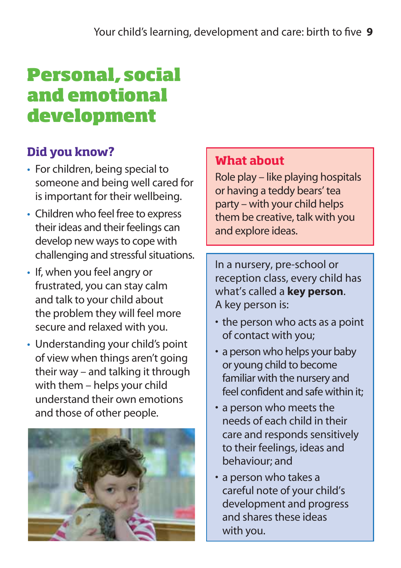# **Personal, social and emotional development**

# **Did you know?**

- For children, being special to someone and being well cared for is important for their wellbeing.
- Children who feel free to express their ideas and their feelings can develop new ways to cope with challenging and stressful situations.
- If, when you feel angry or frustrated, you can stay calm and talk to your child about the problem they will feel more secure and relaxed with you.
- Understanding your child's point of view when things aren't going their way – and talking it through with them – helps your child understand their own emotions and those of other people.



### **What about**

Role play – like playing hospitals or having a teddy bears' tea party – with your child helps them be creative, talk with you and explore ideas.

In a nursery, pre-school or reception class, every child has what's called a **key person**. A key person is:

- the person who acts as a point of contact with you;
- a person who helps your baby or young child to become familiar with the nursery and feel confident and safe within it;
- a person who meets the needs of each child in their care and responds sensitively to their feelings, ideas and behaviour; and
- a person who takes a careful note of your child's development and progress and shares these ideas with you.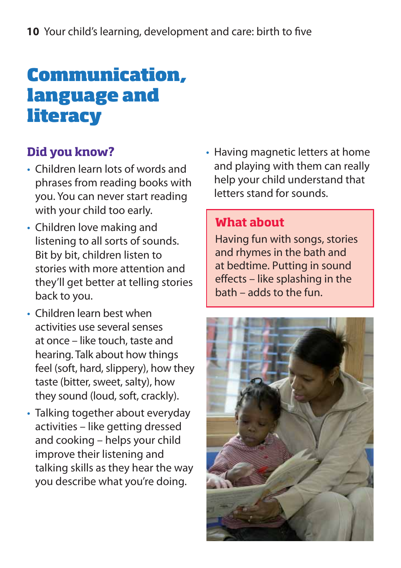# **Communication, language and literacy**

## **Did you know?**

- Children learn lots of words and phrases from reading books with you. You can never start reading with your child too early.
- Children love making and listening to all sorts of sounds. Bit by bit, children listen to stories with more attention and they'll get better at telling stories back to you.
- Children learn best when activities use several senses at once – like touch, taste and hearing. Talk about how things feel (soft, hard, slippery), how they taste (bitter, sweet, salty), how they sound (loud, soft, crackly).
- Talking together about everyday activities – like getting dressed and cooking – helps your child improve their listening and talking skills as they hear the way you describe what you're doing.

• Having magnetic letters at home and playing with them can really help your child understand that letters stand for sounds.

#### **What about**

Having fun with songs, stories and rhymes in the bath and at bedtime. Putting in sound effects – like splashing in the bath – adds to the fun.

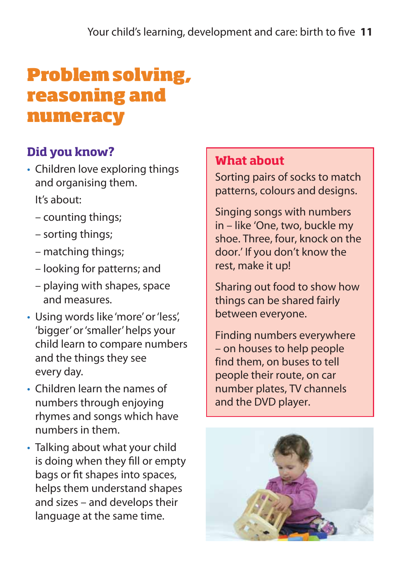# **Problem solving, reasoning and numeracy**

# **Did you know?**

• Children love exploring things and organising them.

It's about:

- counting things;
- sorting things;
- matching things;
- looking for patterns; and
- playing with shapes, space and measures.
- Using words like 'more' or 'less', 'bigger' or 'smaller' helps your child learn to compare numbers and the things they see every day.
- Children learn the names of numbers through enjoying rhymes and songs which have numbers in them.
- Talking about what your child is doing when they fill or empty bags or fit shapes into spaces, helps them understand shapes and sizes – and develops their language at the same time.

#### **What about**

Sorting pairs of socks to match patterns, colours and designs.

Singing songs with numbers in – like 'One, two, buckle my shoe. Three, four, knock on the door.' If you don't know the rest, make it up!

Sharing out food to show how things can be shared fairly between everyone.

Finding numbers everywhere – on houses to help people find them, on buses to tell people their route, on car number plates, TV channels and the DVD player.

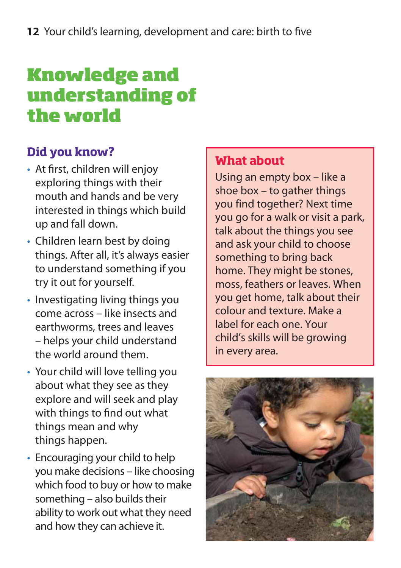# **Knowledge and understanding of the world**

# **Did you know?**

- At first, children will enjoy exploring things with their mouth and hands and be very interested in things which build up and fall down.
- Children learn best by doing things. After all, it's always easier to understand something if you try it out for yourself.
- Investigating living things you come across – like insects and earthworms, trees and leaves – helps your child understand the world around them.
- Your child will love telling you about what they see as they explore and will seek and play with things to find out what things mean and why things happen.
- Encouraging your child to help you make decisions – like choosing which food to buy or how to make something – also builds their ability to work out what they need and how they can achieve it.

### **What about**

Using an empty box – like a shoe box – to gather things you find together? Next time you go for a walk or visit a park, talk about the things you see and ask your child to choose something to bring back home. They might be stones, moss, feathers or leaves. When you get home, talk about their colour and texture. Make a label for each one. Your child's skills will be growing in every area.

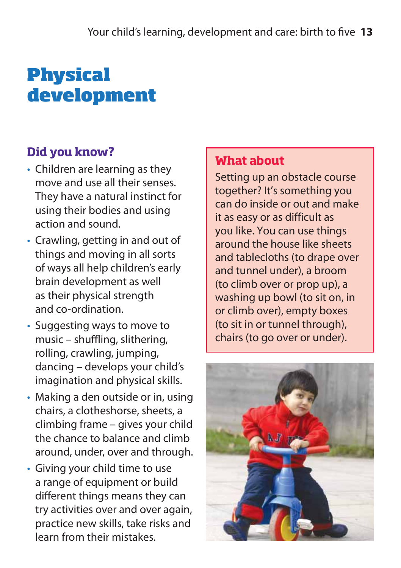# **Physical development**

# **Did you know?**

- Children are learning as they move and use all their senses. They have a natural instinct for using their bodies and using action and sound.
- Crawling, getting in and out of things and moving in all sorts of ways all help children's early brain development as well as their physical strength and co-ordination.
- Suggesting ways to move to  $music - shuffling, slithering,$ rolling, crawling, jumping, dancing – develops your child's imagination and physical skills.
- Making a den outside or in, using chairs, a clotheshorse, sheets, a climbing frame – gives your child the chance to balance and climb around, under, over and through.
- Giving your child time to use a range of equipment or build different things means they can try activities over and over again, practice new skills, take risks and learn from their mistakes.

### **What about**

Setting up an obstacle course together? It's something you can do inside or out and make it as easy or as difficult as you like. You can use things around the house like sheets and tablecloths (to drape over and tunnel under), a broom (to climb over or prop up), a washing up bowl (to sit on, in or climb over), empty boxes (to sit in or tunnel through), chairs (to go over or under).

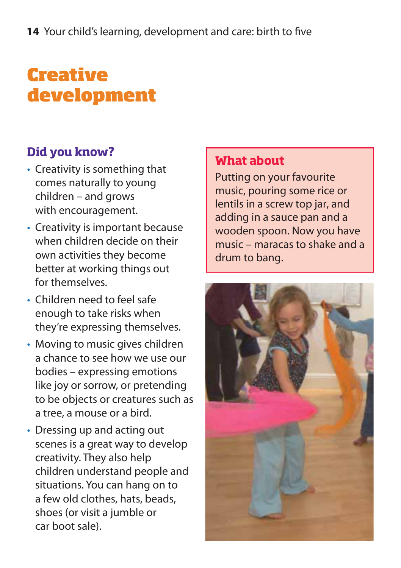# **Creative development**

# **Did you know?**

- Creativity is something that comes naturally to young children – and grows with encouragement.
- Creativity is important because when children decide on their own activities they become better at working things out for themselves.
- Children need to feel safe enough to take risks when they're expressing themselves.
- Moving to music gives children a chance to see how we use our bodies – expressing emotions like joy or sorrow, or pretending to be objects or creatures such as a tree, a mouse or a bird.
- Dressing up and acting out scenes is a great way to develop creativity. They also help children understand people and situations. You can hang on to a few old clothes, hats, beads, shoes (or visit a jumble or car boot sale).

#### **What about**

Putting on your favourite music, pouring some rice or lentils in a screw top jar, and adding in a sauce pan and a wooden spoon. Now you have music – maracas to shake and a drum to bang.

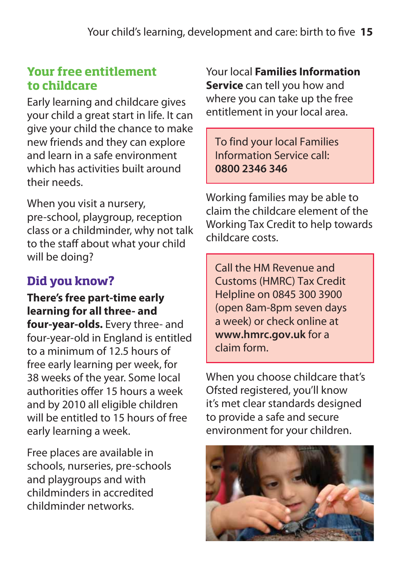### **Your free entitlement to childcare**

Early learning and childcare gives your child a great start in life. It can give your child the chance to make new friends and they can explore and learn in a safe environment which has activities built around their needs.

When you visit a nursery, pre-school, playgroup, reception class or a childminder, why not talk to the staff about what your child will be doing?

# **Did you know?**

**There's free part-time early learning for all three- and four-year-olds.** Every three- and four-year-old in England is entitled to a minimum of 12.5 hours of free early learning per week, for 38 weeks of the year. Some local authorities offer 15 hours a week and by 2010 all eligible children will be entitled to 15 hours of free early learning a week.

Free places are available in schools, nurseries, pre-schools and playgroups and with childminders in accredited childminder networks.

Your local **Families Information Service** can tell you how and where you can take up the free entitlement in your local area.

To find your local Families Information Service call: **0800 2346 346**

Working families may be able to claim the childcare element of the Working Tax Credit to help towards childcare costs.

Call the HM Revenue and Customs (HMRC) Tax Credit Helpline on 0845 300 3900 (open 8am-8pm seven days a week) or check online at **[www.hmrc.gov.uk](http://www.hmrc.gov.uk)** for a claim form.

When you choose childcare that's Ofsted registered, you'll know it's met clear standards designed to provide a safe and secure environment for your children.